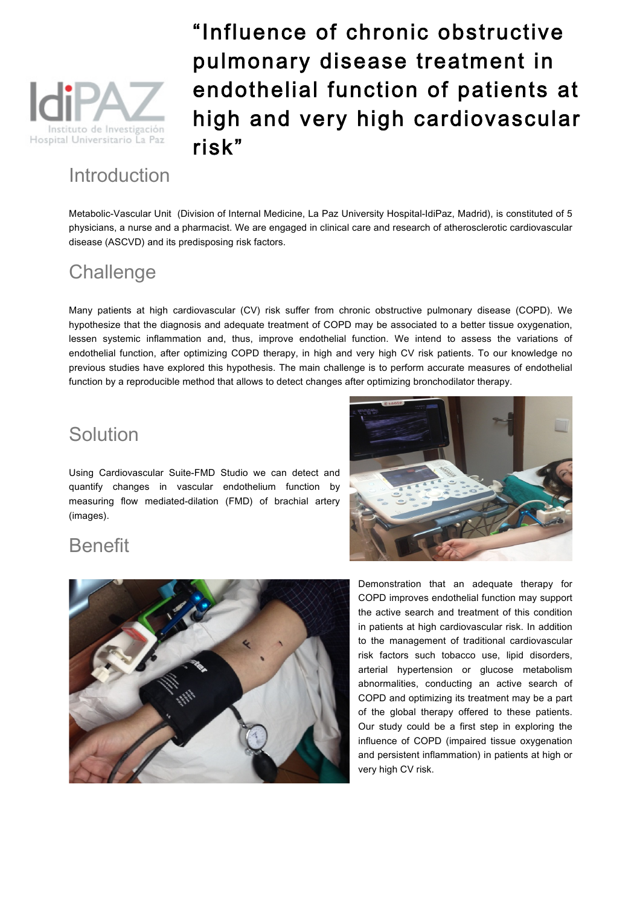

## Introduction

"Influence of chronic obstructive pulmonary disease treatment in endothelial function of patients at high and very high cardiovascular risk"

Metabolic-Vascular Unit (Division of Internal Medicine, La Paz University Hospital-IdiPaz, Madrid), is constituted of 5 physicians, a nurse and a pharmacist. We are engaged in clinical care and research of atherosclerotic cardiovascular disease (ASCVD) and its predisposing risk factors.

## **Challenge**

Many patients at high cardiovascular (CV) risk suffer from chronic obstructive pulmonary disease (COPD). We hypothesize that the diagnosis and adequate treatment of COPD may be associated to a better tissue oxygenation, lessen systemic inflammation and, thus, improve endothelial function. We intend to assess the variations of endothelial function, after optimizing COPD therapy, in high and very high CV risk patients. To our knowledge no previous studies have explored this hypothesis. The main challenge is to perform accurate measures of endothelial function by a reproducible method that allows to detect changes after optimizing bronchodilator therapy.

## Solution

Using Cardiovascular Suite-FMD Studio we can detect and quantify changes in vascular endothelium function by measuring flow mediated-dilation (FMD) of brachial artery (images).



## Benefit



Demonstration that an adequate therapy for COPD improves endothelial function may support the active search and treatment of this condition in patients at high cardiovascular risk. In addition to the management of traditional cardiovascular risk factors such tobacco use, lipid disorders, arterial hypertension or glucose metabolism abnormalities, conducting an active search of COPD and optimizing its treatment may be a part of the global therapy offered to these patients. Our study could be a first step in exploring the influence of COPD (impaired tissue oxygenation and persistent inflammation) in patients at high or very high CV risk.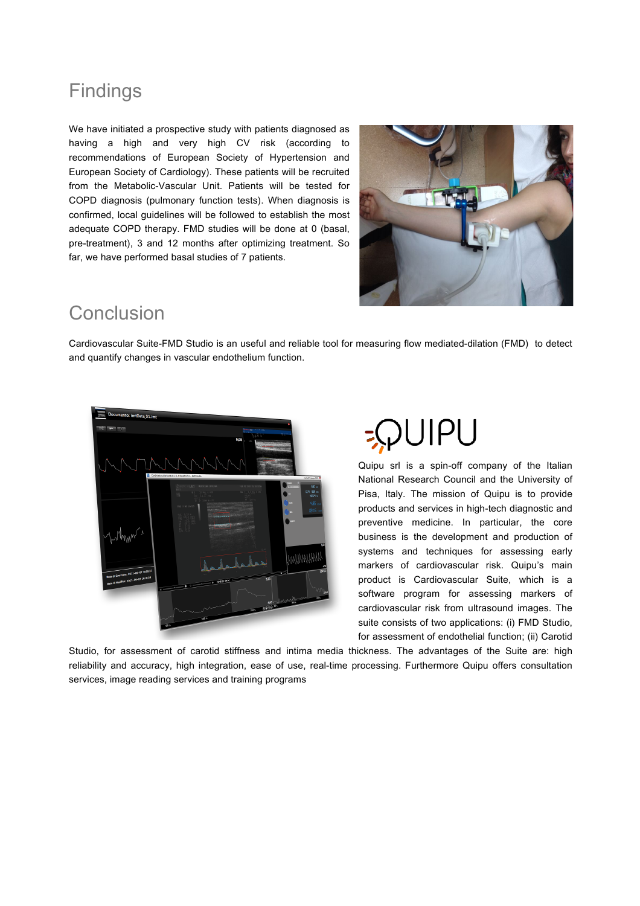## Findings

We have initiated a prospective study with patients diagnosed as having a high and very high CV risk (according to recommendations of European Society of Hypertension and European Society of Cardiology). These patients will be recruited from the Metabolic-Vascular Unit. Patients will be tested for COPD diagnosis (pulmonary function tests). When diagnosis is confirmed, local guidelines will be followed to establish the most adequate COPD therapy. FMD studies will be done at 0 (basal, pre-treatment), 3 and 12 months after optimizing treatment. So far, we have performed basal studies of 7 patients.



## Conclusion

Cardiovascular Suite-FMD Studio is an useful and reliable tool for measuring flow mediated-dilation (FMD) to detect and quantify changes in vascular endothelium function.



# $||P||$

Quipu srl is a spin-off company of the Italian National Research Council and the University of Pisa, Italy. The mission of Quipu is to provide products and services in high-tech diagnostic and preventive medicine. In particular, the core business is the development and production of systems and techniques for assessing early markers of cardiovascular risk. Quipu's main product is Cardiovascular Suite, which is a software program for assessing markers of cardiovascular risk from ultrasound images. The suite consists of two applications: (i) FMD Studio, for assessment of endothelial function; (ii) Carotid

Studio, for assessment of carotid stiffness and intima media thickness. The advantages of the Suite are: high reliability and accuracy, high integration, ease of use, real-time processing. Furthermore Quipu offers consultation services, image reading services and training programs